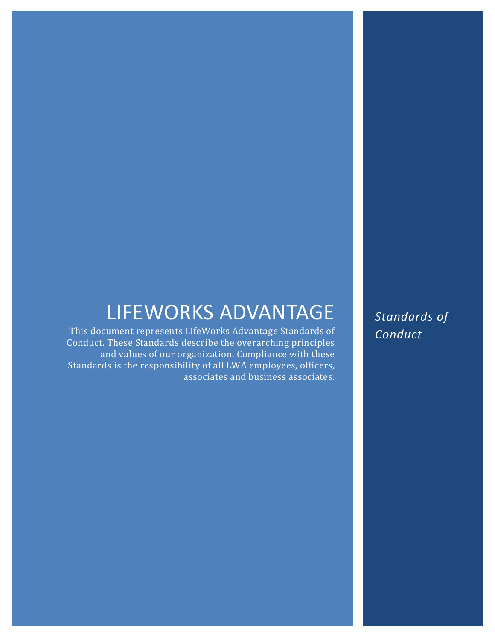# **LIFEWORKS ADVANTAGE**<br>This document represents LifeWorks Advantage Standards of

Conduct. These Standards describe the overarching principles and values of our organization. Compliance with these Standards is the responsibility of all LWA employees, officers, associates and business associates. *Standards of Conduct*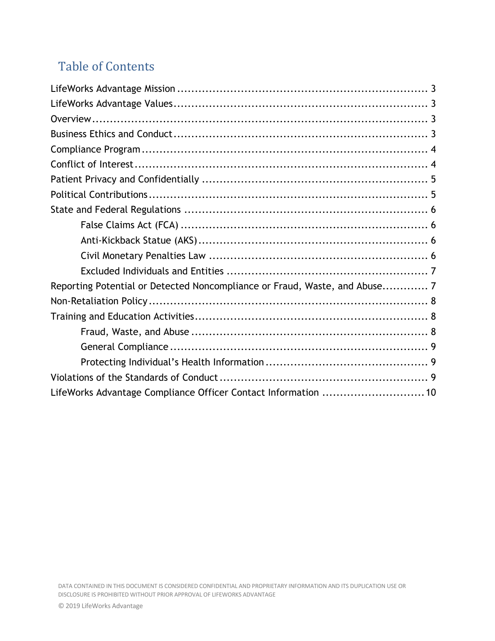# Table of Contents

| Reporting Potential or Detected Noncompliance or Fraud, Waste, and Abuse 7 |  |  |  |
|----------------------------------------------------------------------------|--|--|--|
|                                                                            |  |  |  |
|                                                                            |  |  |  |
|                                                                            |  |  |  |
|                                                                            |  |  |  |
|                                                                            |  |  |  |
|                                                                            |  |  |  |
| LifeWorks Advantage Compliance Officer Contact Information  10             |  |  |  |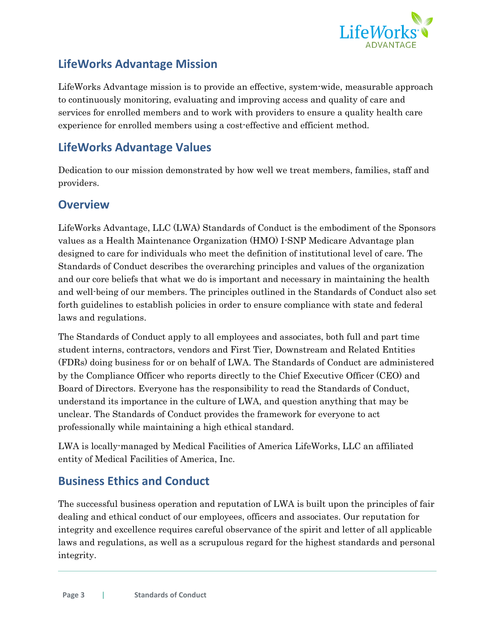

## <span id="page-2-0"></span>**LifeWorks Advantage Mission**

LifeWorks Advantage mission is to provide an effective, system-wide, measurable approach to continuously monitoring, evaluating and improving access and quality of care and services for enrolled members and to work with providers to ensure a quality health care experience for enrolled members using a cost-effective and efficient method.

## <span id="page-2-1"></span>**LifeWorks Advantage Values**

Dedication to our mission demonstrated by how well we treat members, families, staff and providers.

#### <span id="page-2-2"></span>**Overview**

LifeWorks Advantage, LLC (LWA) Standards of Conduct is the embodiment of the Sponsors values as a Health Maintenance Organization (HMO) I-SNP Medicare Advantage plan designed to care for individuals who meet the definition of institutional level of care. The Standards of Conduct describes the overarching principles and values of the organization and our core beliefs that what we do is important and necessary in maintaining the health and well-being of our members. The principles outlined in the Standards of Conduct also set forth guidelines to establish policies in order to ensure compliance with state and federal laws and regulations.

The Standards of Conduct apply to all employees and associates, both full and part time student interns, contractors, vendors and First Tier, Downstream and Related Entities (FDRs) doing business for or on behalf of LWA. The Standards of Conduct are administered by the Compliance Officer who reports directly to the Chief Executive Officer (CEO) and Board of Directors. Everyone has the responsibility to read the Standards of Conduct, understand its importance in the culture of LWA, and question anything that may be unclear. The Standards of Conduct provides the framework for everyone to act professionally while maintaining a high ethical standard.

LWA is locally-managed by Medical Facilities of America LifeWorks, LLC an affiliated entity of Medical Facilities of America, Inc.

## <span id="page-2-3"></span>**Business Ethics and Conduct**

The successful business operation and reputation of LWA is built upon the principles of fair dealing and ethical conduct of our employees, officers and associates. Our reputation for integrity and excellence requires careful observance of the spirit and letter of all applicable laws and regulations, as well as a scrupulous regard for the highest standards and personal integrity.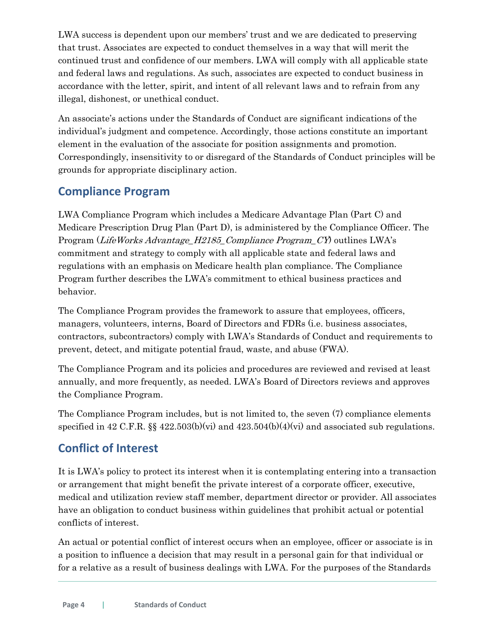LWA success is dependent upon our members' trust and we are dedicated to preserving that trust. Associates are expected to conduct themselves in a way that will merit the continued trust and confidence of our members. LWA will comply with all applicable state and federal laws and regulations. As such, associates are expected to conduct business in accordance with the letter, spirit, and intent of all relevant laws and to refrain from any illegal, dishonest, or unethical conduct.

An associate's actions under the Standards of Conduct are significant indications of the individual's judgment and competence. Accordingly, those actions constitute an important element in the evaluation of the associate for position assignments and promotion. Correspondingly, insensitivity to or disregard of the Standards of Conduct principles will be grounds for appropriate disciplinary action.

## <span id="page-3-0"></span>**Compliance Program**

LWA Compliance Program which includes a Medicare Advantage Plan (Part C) and Medicare Prescription Drug Plan (Part D), is administered by the Compliance Officer. The Program (LifeWorks Advantage\_H2185\_Compliance Program\_CY) outlines LWA's commitment and strategy to comply with all applicable state and federal laws and regulations with an emphasis on Medicare health plan compliance. The Compliance Program further describes the LWA's commitment to ethical business practices and behavior.

The Compliance Program provides the framework to assure that employees, officers, managers, volunteers, interns, Board of Directors and FDRs (i.e. business associates, contractors, subcontractors) comply with LWA's Standards of Conduct and requirements to prevent, detect, and mitigate potential fraud, waste, and abuse (FWA).

The Compliance Program and its policies and procedures are reviewed and revised at least annually, and more frequently, as needed. LWA's Board of Directors reviews and approves the Compliance Program.

The Compliance Program includes, but is not limited to, the seven (7) compliance elements specified in 42 C.F.R.  $\S$  422.503(b)(vi) and 423.504(b)(4)(vi) and associated sub regulations.

## <span id="page-3-1"></span>**Conflict of Interest**

It is LWA's policy to protect its interest when it is contemplating entering into a transaction or arrangement that might benefit the private interest of a corporate officer, executive, medical and utilization review staff member, department director or provider. All associates have an obligation to conduct business within guidelines that prohibit actual or potential conflicts of interest.

An actual or potential conflict of interest occurs when an employee, officer or associate is in a position to influence a decision that may result in a personal gain for that individual or for a relative as a result of business dealings with LWA. For the purposes of the Standards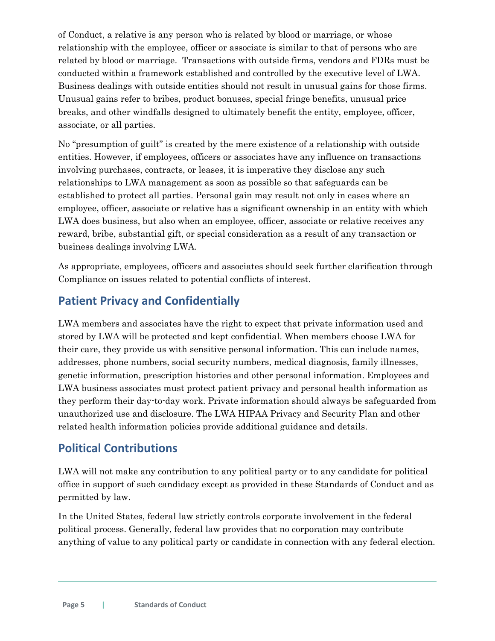of Conduct, a relative is any person who is related by blood or marriage, or whose relationship with the employee, officer or associate is similar to that of persons who are related by blood or marriage. Transactions with outside firms, vendors and FDRs must be conducted within a framework established and controlled by the executive level of LWA. Business dealings with outside entities should not result in unusual gains for those firms. Unusual gains refer to bribes, product bonuses, special fringe benefits, unusual price breaks, and other windfalls designed to ultimately benefit the entity, employee, officer, associate, or all parties.

No "presumption of guilt" is created by the mere existence of a relationship with outside entities. However, if employees, officers or associates have any influence on transactions involving purchases, contracts, or leases, it is imperative they disclose any such relationships to LWA management as soon as possible so that safeguards can be established to protect all parties. Personal gain may result not only in cases where an employee, officer, associate or relative has a significant ownership in an entity with which LWA does business, but also when an employee, officer, associate or relative receives any reward, bribe, substantial gift, or special consideration as a result of any transaction or business dealings involving LWA.

As appropriate, employees, officers and associates should seek further clarification through Compliance on issues related to potential conflicts of interest.

## <span id="page-4-0"></span>**Patient Privacy and Confidentially**

LWA members and associates have the right to expect that private information used and stored by LWA will be protected and kept confidential. When members choose LWA for their care, they provide us with sensitive personal information. This can include names, addresses, phone numbers, social security numbers, medical diagnosis, family illnesses, genetic information, prescription histories and other personal information. Employees and LWA business associates must protect patient privacy and personal health information as they perform their day-to-day work. Private information should always be safeguarded from unauthorized use and disclosure. The LWA HIPAA Privacy and Security Plan and other related health information policies provide additional guidance and details.

## <span id="page-4-1"></span>**Political Contributions**

LWA will not make any contribution to any political party or to any candidate for political office in support of such candidacy except as provided in these Standards of Conduct and as permitted by law.

In the United States, federal law strictly controls corporate involvement in the federal political process. Generally, federal law provides that no corporation may contribute anything of value to any political party or candidate in connection with any federal election.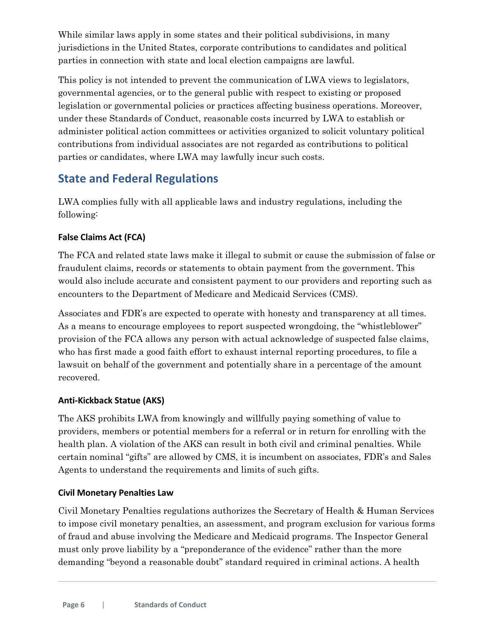While similar laws apply in some states and their political subdivisions, in many jurisdictions in the United States, corporate contributions to candidates and political parties in connection with state and local election campaigns are lawful.

This policy is not intended to prevent the communication of LWA views to legislators, governmental agencies, or to the general public with respect to existing or proposed legislation or governmental policies or practices affecting business operations. Moreover, under these Standards of Conduct, reasonable costs incurred by LWA to establish or administer political action committees or activities organized to solicit voluntary political contributions from individual associates are not regarded as contributions to political parties or candidates, where LWA may lawfully incur such costs.

## <span id="page-5-0"></span>**State and Federal Regulations**

LWA complies fully with all applicable laws and industry regulations, including the following:

#### <span id="page-5-1"></span>**False Claims Act (FCA)**

The FCA and related state laws make it illegal to submit or cause the submission of false or fraudulent claims, records or statements to obtain payment from the government. This would also include accurate and consistent payment to our providers and reporting such as encounters to the Department of Medicare and Medicaid Services (CMS).

Associates and FDR's are expected to operate with honesty and transparency at all times. As a means to encourage employees to report suspected wrongdoing, the "whistleblower" provision of the FCA allows any person with actual acknowledge of suspected false claims, who has first made a good faith effort to exhaust internal reporting procedures, to file a lawsuit on behalf of the government and potentially share in a percentage of the amount recovered.

#### <span id="page-5-2"></span>**Anti-Kickback Statue (AKS)**

The AKS prohibits LWA from knowingly and willfully paying something of value to providers, members or potential members for a referral or in return for enrolling with the health plan. A violation of the AKS can result in both civil and criminal penalties. While certain nominal "gifts" are allowed by CMS, it is incumbent on associates, FDR's and Sales Agents to understand the requirements and limits of such gifts.

#### <span id="page-5-3"></span>**Civil Monetary Penalties Law**

Civil Monetary Penalties regulations authorizes the Secretary of Health & Human Services to impose civil monetary penalties, an assessment, and program exclusion for various forms of fraud and abuse involving the Medicare and Medicaid programs. The Inspector General must only prove liability by a "preponderance of the evidence" rather than the more demanding "beyond a reasonable doubt" standard required in criminal actions. A health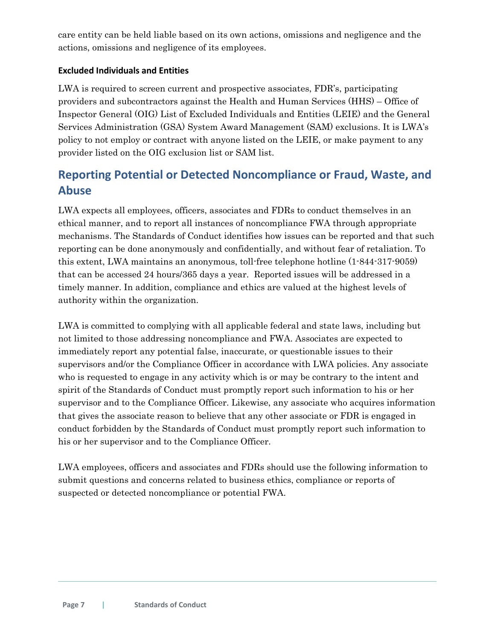care entity can be held liable based on its own actions, omissions and negligence and the actions, omissions and negligence of its employees.

#### <span id="page-6-0"></span>**Excluded Individuals and Entities**

LWA is required to screen current and prospective associates, FDR's, participating providers and subcontractors against the Health and Human Services (HHS) – Office of Inspector General (OIG) List of Excluded Individuals and Entities (LEIE) and the General Services Administration (GSA) System Award Management (SAM) exclusions. It is LWA's policy to not employ or contract with anyone listed on the LEIE, or make payment to any provider listed on the OIG exclusion list or SAM list.

## <span id="page-6-1"></span>**Reporting Potential or Detected Noncompliance or Fraud, Waste, and Abuse**

LWA expects all employees, officers, associates and FDRs to conduct themselves in an ethical manner, and to report all instances of noncompliance FWA through appropriate mechanisms. The Standards of Conduct identifies how issues can be reported and that such reporting can be done anonymously and confidentially, and without fear of retaliation. To this extent, LWA maintains an anonymous, toll-free telephone hotline (1-844-317-9059) that can be accessed 24 hours/365 days a year. Reported issues will be addressed in a timely manner. In addition, compliance and ethics are valued at the highest levels of authority within the organization.

LWA is committed to complying with all applicable federal and state laws, including but not limited to those addressing noncompliance and FWA. Associates are expected to immediately report any potential false, inaccurate, or questionable issues to their supervisors and/or the Compliance Officer in accordance with LWA policies. Any associate who is requested to engage in any activity which is or may be contrary to the intent and spirit of the Standards of Conduct must promptly report such information to his or her supervisor and to the Compliance Officer. Likewise, any associate who acquires information that gives the associate reason to believe that any other associate or FDR is engaged in conduct forbidden by the Standards of Conduct must promptly report such information to his or her supervisor and to the Compliance Officer.

LWA employees, officers and associates and FDRs should use the following information to submit questions and concerns related to business ethics, compliance or reports of suspected or detected noncompliance or potential FWA.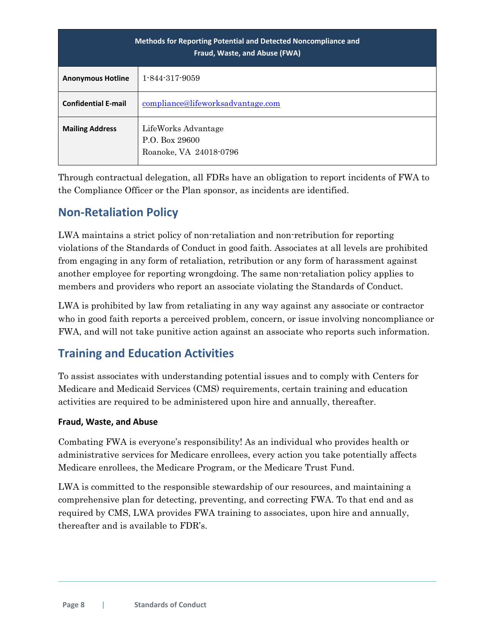| <b>Methods for Reporting Potential and Detected Noncompliance and</b><br>Fraud, Waste, and Abuse (FWA) |                                                                 |  |
|--------------------------------------------------------------------------------------------------------|-----------------------------------------------------------------|--|
| <b>Anonymous Hotline</b>                                                                               | 1-844-317-9059                                                  |  |
| <b>Confidential E-mail</b>                                                                             | compliance@lifeworksadvantage.com                               |  |
| <b>Mailing Address</b>                                                                                 | LifeWorks Advantage<br>P.O. Box 29600<br>Roanoke, VA 24018-0796 |  |

Through contractual delegation, all FDRs have an obligation to report incidents of FWA to the Compliance Officer or the Plan sponsor, as incidents are identified.

## <span id="page-7-0"></span>**Non-Retaliation Policy**

LWA maintains a strict policy of non-retaliation and non-retribution for reporting violations of the Standards of Conduct in good faith. Associates at all levels are prohibited from engaging in any form of retaliation, retribution or any form of harassment against another employee for reporting wrongdoing. The same non-retaliation policy applies to members and providers who report an associate violating the Standards of Conduct.

LWA is prohibited by law from retaliating in any way against any associate or contractor who in good faith reports a perceived problem, concern, or issue involving noncompliance or FWA, and will not take punitive action against an associate who reports such information.

## <span id="page-7-1"></span>**Training and Education Activities**

To assist associates with understanding potential issues and to comply with Centers for Medicare and Medicaid Services (CMS) requirements, certain training and education activities are required to be administered upon hire and annually, thereafter.

#### <span id="page-7-2"></span>**Fraud, Waste, and Abuse**

Combating FWA is everyone's responsibility! As an individual who provides health or administrative services for Medicare enrollees, every action you take potentially affects Medicare enrollees, the Medicare Program, or the Medicare Trust Fund.

LWA is committed to the responsible stewardship of our resources, and maintaining a comprehensive plan for detecting, preventing, and correcting FWA. To that end and as required by CMS, LWA provides FWA training to associates, upon hire and annually, thereafter and is available to FDR's.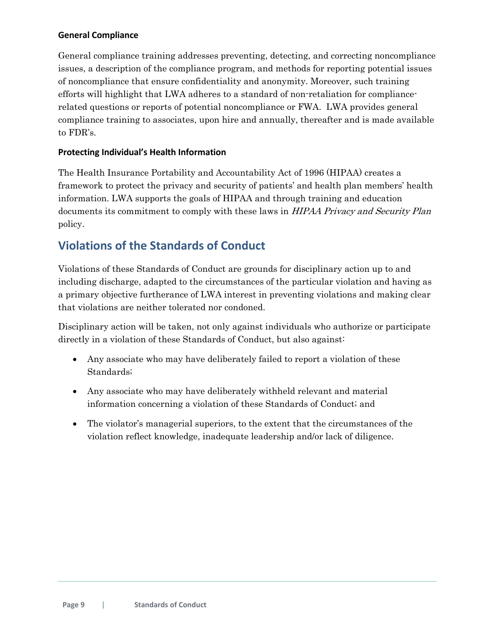#### <span id="page-8-0"></span>**General Compliance**

General compliance training addresses preventing, detecting, and correcting noncompliance issues, a description of the compliance program, and methods for reporting potential issues of noncompliance that ensure confidentiality and anonymity. Moreover, such training efforts will highlight that LWA adheres to a standard of non-retaliation for compliancerelated questions or reports of potential noncompliance or FWA. LWA provides general compliance training to associates, upon hire and annually, thereafter and is made available to FDR's.

#### <span id="page-8-1"></span>**Protecting Individual's Health Information**

The Health Insurance Portability and Accountability Act of 1996 (HIPAA) creates a framework to protect the privacy and security of patients' and health plan members' health information. LWA supports the goals of HIPAA and through training and education documents its commitment to comply with these laws in *HIPAA Privacy and Security Plan* policy.

## <span id="page-8-2"></span>**Violations of the Standards of Conduct**

Violations of these Standards of Conduct are grounds for disciplinary action up to and including discharge, adapted to the circumstances of the particular violation and having as a primary objective furtherance of LWA interest in preventing violations and making clear that violations are neither tolerated nor condoned.

Disciplinary action will be taken, not only against individuals who authorize or participate directly in a violation of these Standards of Conduct, but also against:

- Any associate who may have deliberately failed to report a violation of these Standards;
- Any associate who may have deliberately withheld relevant and material information concerning a violation of these Standards of Conduct; and
- The violator's managerial superiors, to the extent that the circumstances of the violation reflect knowledge, inadequate leadership and/or lack of diligence.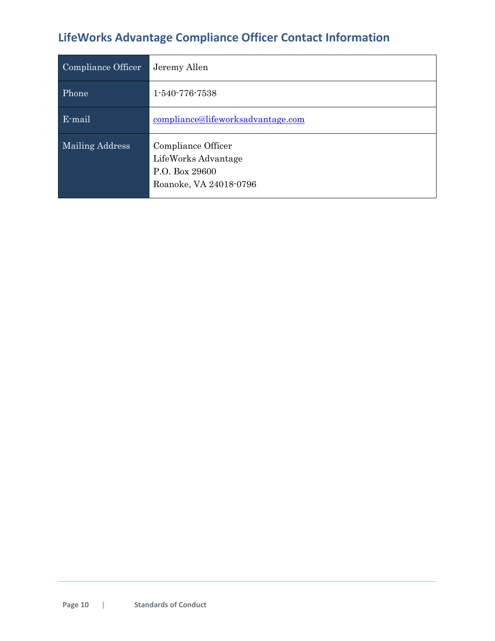# <span id="page-9-0"></span>**LifeWorks Advantage Compliance Officer Contact Information**

| Compliance Officer | Jeremy Allen                                                                          |
|--------------------|---------------------------------------------------------------------------------------|
| Phone              | 1-540-776-7538                                                                        |
| E-mail             | compliance@lifeworksadvantage.com                                                     |
| Mailing Address    | Compliance Officer<br>LifeWorks Advantage<br>P.O. Box 29600<br>Roanoke, VA 24018-0796 |